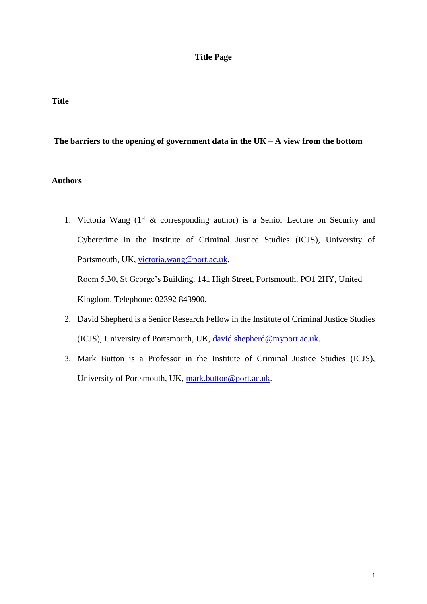# **Title Page**

# **Title**

# **The barriers to the opening of government data in the UK – A view from the bottom**

# **Authors**

1. Victoria Wang  $(1<sup>st</sup> & corresponding author)$  is a Senior Lecture on Security and Cybercrime in the Institute of Criminal Justice Studies (ICJS), University of Portsmouth, UK, [victoria.wang@port.ac.uk.](mailto:victoria.wang@port.ac.uk)

Room 5.30, St George's Building, 141 High Street, Portsmouth, PO1 2HY, United Kingdom. Telephone: 02392 843900.

- 2. David Shepherd is a Senior Research Fellow in the Institute of Criminal Justice Studies (ICJS), University of Portsmouth, UK, [david.shepherd@myport.ac.uk.](mailto:david.shepherd@myport.ac.uk)
- 3. Mark Button is a Professor in the Institute of Criminal Justice Studies (ICJS), University of Portsmouth, UK, [mark.button@port.ac.uk.](mailto:mark.button@port.ac.uk)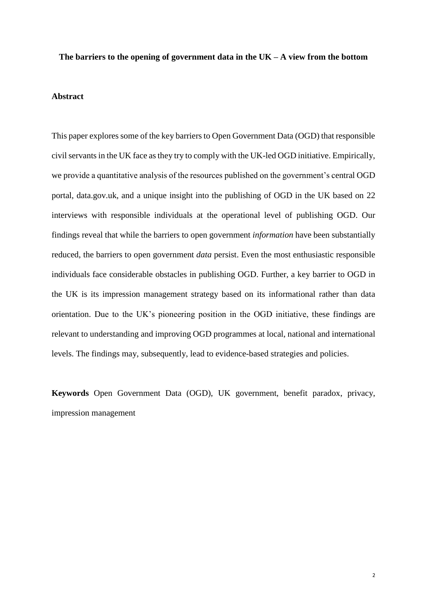#### **The barriers to the opening of government data in the UK – A view from the bottom**

#### **Abstract**

This paper explores some of the key barriers to Open Government Data (OGD) that responsible civil servants in the UK face as they try to comply with the UK-led OGD initiative. Empirically, we provide a quantitative analysis of the resources published on the government's central OGD portal, data.gov.uk, and a unique insight into the publishing of OGD in the UK based on 22 interviews with responsible individuals at the operational level of publishing OGD. Our findings reveal that while the barriers to open government *information* have been substantially reduced, the barriers to open government *data* persist. Even the most enthusiastic responsible individuals face considerable obstacles in publishing OGD. Further, a key barrier to OGD in the UK is its impression management strategy based on its informational rather than data orientation. Due to the UK's pioneering position in the OGD initiative, these findings are relevant to understanding and improving OGD programmes at local, national and international levels. The findings may, subsequently, lead to evidence-based strategies and policies.

**Keywords** Open Government Data (OGD), UK government, benefit paradox, privacy, impression management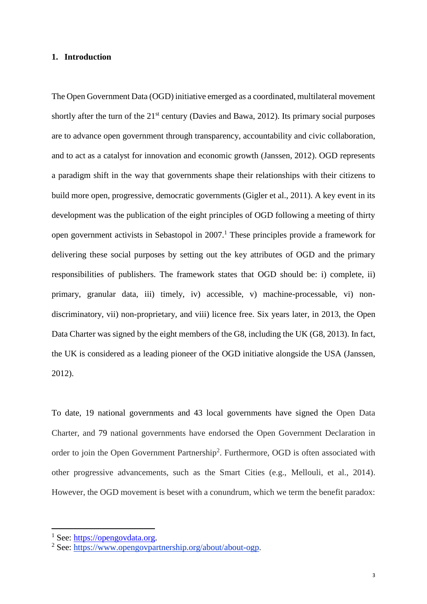## **1. Introduction**

The Open Government Data (OGD) initiative emerged as a coordinated, multilateral movement shortly after the turn of the  $21<sup>st</sup>$  century (Davies and Bawa, 2012). Its primary social purposes are to advance open government through transparency, accountability and civic collaboration, and to act as a catalyst for innovation and economic growth (Janssen, 2012). OGD represents a paradigm shift in the way that governments shape their relationships with their citizens to build more open, progressive, democratic governments (Gigler et al., 2011). A key event in its development was the publication of the eight principles of OGD following a meeting of thirty open government activists in Sebastopol in 2007. <sup>1</sup> These principles provide a framework for delivering these social purposes by setting out the key attributes of OGD and the primary responsibilities of publishers. The framework states that OGD should be: i) complete, ii) primary, granular data, iii) timely, iv) accessible, v) machine-processable, vi) nondiscriminatory, vii) non-proprietary, and viii) licence free. Six years later, in 2013, the Open Data Charter was signed by the eight members of the G8, including the UK (G8, 2013). In fact, the UK is considered as a leading pioneer of the OGD initiative alongside the USA (Janssen, 2012).

To date, 19 national governments and 43 local governments have signed the Open Data Charter, and 79 national governments have endorsed the Open Government Declaration in order to join the Open Government Partnership<sup>2</sup>. Furthermore, OGD is often associated with other progressive advancements, such as the Smart Cities (e.g., Mellouli, et al., 2014). However, the OGD movement is beset with a conundrum, which we term the benefit paradox:

<sup>&</sup>lt;sup>1</sup> See: [https://opengovdata.org.](https://opengovdata.org/)

<sup>2</sup> See: [https://www.opengovpartnership.org/about/about-ogp.](https://www.opengovpartnership.org/about/about-ogp)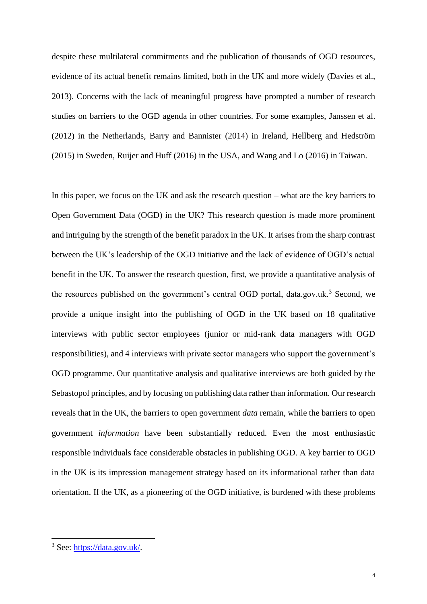despite these multilateral commitments and the publication of thousands of OGD resources, evidence of its actual benefit remains limited, both in the UK and more widely (Davies et al., 2013). Concerns with the lack of meaningful progress have prompted a number of research studies on barriers to the OGD agenda in other countries. For some examples, Janssen et al. (2012) in the Netherlands, Barry and Bannister (2014) in Ireland, Hellberg and Hedström (2015) in Sweden, Ruijer and Huff (2016) in the USA, and Wang and Lo (2016) in Taiwan.

In this paper, we focus on the UK and ask the research question – what are the key barriers to Open Government Data (OGD) in the UK? This research question is made more prominent and intriguing by the strength of the benefit paradox in the UK. It arises from the sharp contrast between the UK's leadership of the OGD initiative and the lack of evidence of OGD's actual benefit in the UK. To answer the research question, first, we provide a quantitative analysis of the resources published on the government's central OGD portal, data.gov.uk.<sup>3</sup> Second, we provide a unique insight into the publishing of OGD in the UK based on 18 qualitative interviews with public sector employees (junior or mid-rank data managers with OGD responsibilities), and 4 interviews with private sector managers who support the government's OGD programme. Our quantitative analysis and qualitative interviews are both guided by the Sebastopol principles, and by focusing on publishing data rather than information. Our research reveals that in the UK, the barriers to open government *data* remain, while the barriers to open government *information* have been substantially reduced. Even the most enthusiastic responsible individuals face considerable obstacles in publishing OGD. A key barrier to OGD in the UK is its impression management strategy based on its informational rather than data orientation. If the UK, as a pioneering of the OGD initiative, is burdened with these problems

<sup>3</sup> See: [https://data.gov.uk/.](https://data.gov.uk/)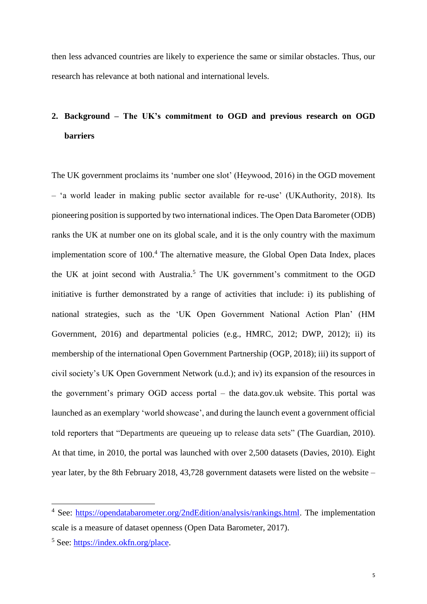then less advanced countries are likely to experience the same or similar obstacles. Thus, our research has relevance at both national and international levels.

# **2. Background – The UK's commitment to OGD and previous research on OGD barriers**

The UK government proclaims its 'number one slot' (Heywood, 2016) in the OGD movement – 'a world leader in making public sector available for re-use' (UKAuthority, 2018). Its pioneering position is supported by two international indices. The Open Data Barometer (ODB) ranks the UK at number one on its global scale, and it is the only country with the maximum implementation score of  $100<sup>4</sup>$ . The alternative measure, the Global Open Data Index, places the UK at joint second with Australia.<sup>5</sup> The UK government's commitment to the OGD initiative is further demonstrated by a range of activities that include: i) its publishing of national strategies, such as the 'UK Open Government National Action Plan' (HM Government, 2016) and departmental policies (e.g., HMRC, 2012; DWP, 2012); ii) its membership of the international Open Government Partnership (OGP, 2018); iii) its support of civil society's UK Open Government Network (u.d.); and iv) its expansion of the resources in the government's primary OGD access portal – the data.gov.uk website. This portal was launched as an exemplary 'world showcase', and during the launch event a government official told reporters that "Departments are queueing up to release data sets" (The Guardian, 2010). At that time, in 2010, the portal was launched with over 2,500 datasets (Davies, 2010). Eight year later, by the 8th February 2018, 43,728 government datasets were listed on the website –

<sup>4</sup> See: [https://opendatabarometer.org/2ndEdition/analysis/rankings.html.](https://opendatabarometer.org/2ndEdition/analysis/rankings.html) The implementation scale is a measure of dataset openness (Open Data Barometer, 2017).

<sup>5</sup> See: [https://index.okfn.org/place.](https://index.okfn.org/place)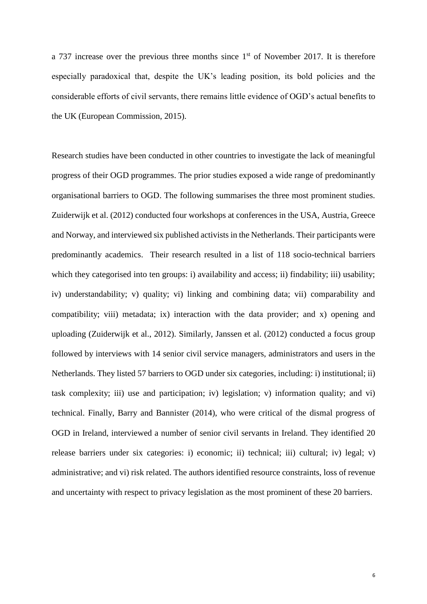a 737 increase over the previous three months since  $1<sup>st</sup>$  of November 2017. It is therefore especially paradoxical that, despite the UK's leading position, its bold policies and the considerable efforts of civil servants, there remains little evidence of OGD's actual benefits to the UK (European Commission, 2015).

Research studies have been conducted in other countries to investigate the lack of meaningful progress of their OGD programmes. The prior studies exposed a wide range of predominantly organisational barriers to OGD. The following summarises the three most prominent studies. Zuiderwijk et al. (2012) conducted four workshops at conferences in the USA, Austria, Greece and Norway, and interviewed six published activists in the Netherlands. Their participants were predominantly academics. Their research resulted in a list of 118 socio-technical barriers which they categorised into ten groups: i) availability and access; ii) findability; iii) usability; iv) understandability; v) quality; vi) linking and combining data; vii) comparability and compatibility; viii) metadata; ix) interaction with the data provider; and x) opening and uploading (Zuiderwijk et al., 2012). Similarly, Janssen et al. (2012) conducted a focus group followed by interviews with 14 senior civil service managers, administrators and users in the Netherlands. They listed 57 barriers to OGD under six categories, including: i) institutional; ii) task complexity; iii) use and participation; iv) legislation; v) information quality; and vi) technical. Finally, Barry and Bannister (2014), who were critical of the dismal progress of OGD in Ireland, interviewed a number of senior civil servants in Ireland. They identified 20 release barriers under six categories: i) economic; ii) technical; iii) cultural; iv) legal; v) administrative; and vi) risk related. The authors identified resource constraints, loss of revenue and uncertainty with respect to privacy legislation as the most prominent of these 20 barriers.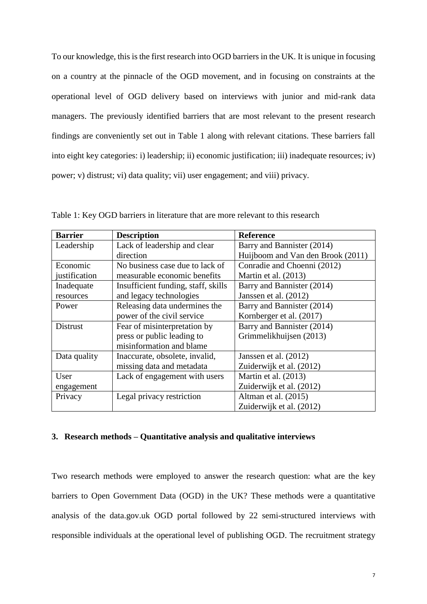To our knowledge, this is the first research into OGD barriers in the UK. It is unique in focusing on a country at the pinnacle of the OGD movement, and in focusing on constraints at the operational level of OGD delivery based on interviews with junior and mid-rank data managers. The previously identified barriers that are most relevant to the present research findings are conveniently set out in Table 1 along with relevant citations. These barriers fall into eight key categories: i) leadership; ii) economic justification; iii) inadequate resources; iv) power; v) distrust; vi) data quality; vii) user engagement; and viii) privacy.

| <b>Barrier</b>  | <b>Description</b>                  | <b>Reference</b>                  |  |  |
|-----------------|-------------------------------------|-----------------------------------|--|--|
| Leadership      | Lack of leadership and clear        | Barry and Bannister (2014)        |  |  |
|                 | direction                           | Huijboom and Van den Brook (2011) |  |  |
| Economic        | No business case due to lack of     | Conradie and Choenni (2012)       |  |  |
| justification   | measurable economic benefits        | Martin et al. (2013)              |  |  |
| Inadequate      | Insufficient funding, staff, skills | Barry and Bannister (2014)        |  |  |
| resources       | and legacy technologies             | Janssen et al. (2012)             |  |  |
| Power           | Releasing data undermines the       | Barry and Bannister (2014)        |  |  |
|                 | power of the civil service          | Kornberger et al. (2017)          |  |  |
| <b>Distrust</b> | Fear of misinterpretation by        | Barry and Bannister (2014)        |  |  |
|                 | press or public leading to          | Grimmelikhuijsen (2013)           |  |  |
|                 | misinformation and blame            |                                   |  |  |
| Data quality    | Inaccurate, obsolete, invalid,      | Janssen et al. $(2012)$           |  |  |
|                 | missing data and metadata           | Zuiderwijk et al. (2012)          |  |  |
| User            | Lack of engagement with users       | Martin et al. (2013)              |  |  |
| engagement      |                                     | Zuiderwijk et al. (2012)          |  |  |
| Privacy         | Legal privacy restriction           | Altman et al. $(2015)$            |  |  |
|                 |                                     | Zuiderwijk et al. (2012)          |  |  |

Table 1: Key OGD barriers in literature that are more relevant to this research

## **3. Research methods – Quantitative analysis and qualitative interviews**

Two research methods were employed to answer the research question: what are the key barriers to Open Government Data (OGD) in the UK? These methods were a quantitative analysis of the data.gov.uk OGD portal followed by 22 semi-structured interviews with responsible individuals at the operational level of publishing OGD. The recruitment strategy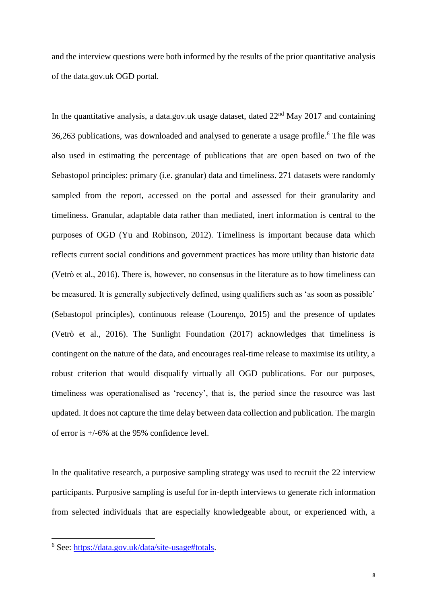and the interview questions were both informed by the results of the prior quantitative analysis of the data.gov.uk OGD portal.

In the quantitative analysis, a data.gov.uk usage dataset, dated  $22<sup>nd</sup>$  May 2017 and containing 36,263 publications, was downloaded and analysed to generate a usage profile.<sup>6</sup> The file was also used in estimating the percentage of publications that are open based on two of the Sebastopol principles: primary (i.e. granular) data and timeliness. 271 datasets were randomly sampled from the report, accessed on the portal and assessed for their granularity and timeliness. Granular, adaptable data rather than mediated, inert information is central to the purposes of OGD (Yu and Robinson, 2012). Timeliness is important because data which reflects current social conditions and government practices has more utility than historic data (Vetrò et al., 2016). There is, however, no consensus in the literature as to how timeliness can be measured. It is generally subjectively defined, using qualifiers such as 'as soon as possible' (Sebastopol principles), continuous release (Lourenço, 2015) and the presence of updates (Vetrò et al., 2016). The Sunlight Foundation (2017) acknowledges that timeliness is contingent on the nature of the data, and encourages real-time release to maximise its utility, a robust criterion that would disqualify virtually all OGD publications. For our purposes, timeliness was operationalised as 'recency', that is, the period since the resource was last updated. It does not capture the time delay between data collection and publication. The margin of error is +/-6% at the 95% confidence level.

In the qualitative research, a purposive sampling strategy was used to recruit the 22 interview participants. Purposive sampling is useful for in-depth interviews to generate rich information from selected individuals that are especially knowledgeable about, or experienced with, a

<sup>&</sup>lt;sup>6</sup> See: [https://data.gov.uk/data/site-usage#totals.](https://data.gov.uk/data/site-usage#totals)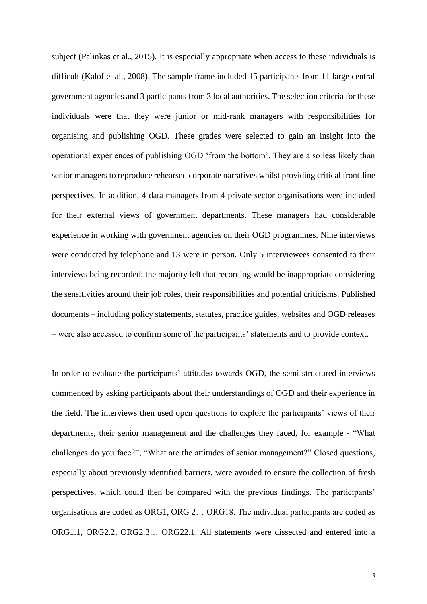subject (Palinkas et al., 2015). It is especially appropriate when access to these individuals is difficult (Kalof et al., 2008). The sample frame included 15 participants from 11 large central government agencies and 3 participants from 3 local authorities. The selection criteria for these individuals were that they were junior or mid-rank managers with responsibilities for organising and publishing OGD. These grades were selected to gain an insight into the operational experiences of publishing OGD 'from the bottom'. They are also less likely than senior managers to reproduce rehearsed corporate narratives whilst providing critical front-line perspectives. In addition, 4 data managers from 4 private sector organisations were included for their external views of government departments. These managers had considerable experience in working with government agencies on their OGD programmes. Nine interviews were conducted by telephone and 13 were in person. Only 5 interviewees consented to their interviews being recorded; the majority felt that recording would be inappropriate considering the sensitivities around their job roles, their responsibilities and potential criticisms. Published documents – including policy statements, statutes, practice guides, websites and OGD releases – were also accessed to confirm some of the participants' statements and to provide context.

In order to evaluate the participants' attitudes towards OGD, the semi-structured interviews commenced by asking participants about their understandings of OGD and their experience in the field. The interviews then used open questions to explore the participants' views of their departments, their senior management and the challenges they faced, for example - "What challenges do you face?"; "What are the attitudes of senior management?" Closed questions, especially about previously identified barriers, were avoided to ensure the collection of fresh perspectives, which could then be compared with the previous findings. The participants' organisations are coded as ORG1, ORG 2… ORG18. The individual participants are coded as ORG1.1, ORG2.2, ORG2.3… ORG22.1. All statements were dissected and entered into a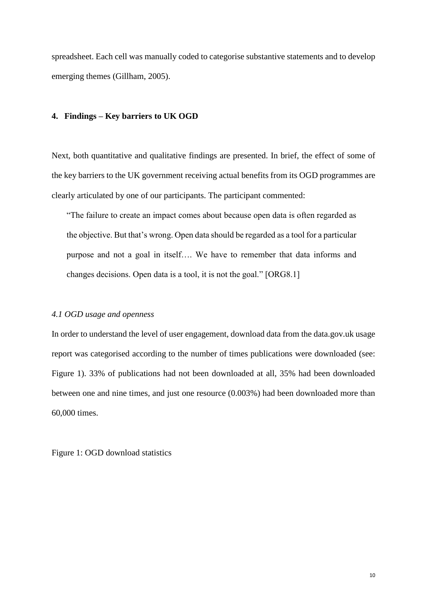spreadsheet. Each cell was manually coded to categorise substantive statements and to develop emerging themes (Gillham, 2005).

# **4. Findings – Key barriers to UK OGD**

Next, both quantitative and qualitative findings are presented. In brief, the effect of some of the key barriers to the UK government receiving actual benefits from its OGD programmes are clearly articulated by one of our participants. The participant commented:

"The failure to create an impact comes about because open data is often regarded as the objective. But that's wrong. Open data should be regarded as a tool for a particular purpose and not a goal in itself…. We have to remember that data informs and changes decisions. Open data is a tool, it is not the goal." [ORG8.1]

#### *4.1 OGD usage and openness*

In order to understand the level of user engagement, download data from the data.gov.uk usage report was categorised according to the number of times publications were downloaded (see: Figure 1). 33% of publications had not been downloaded at all, 35% had been downloaded between one and nine times, and just one resource (0.003%) had been downloaded more than 60,000 times.

Figure 1: OGD download statistics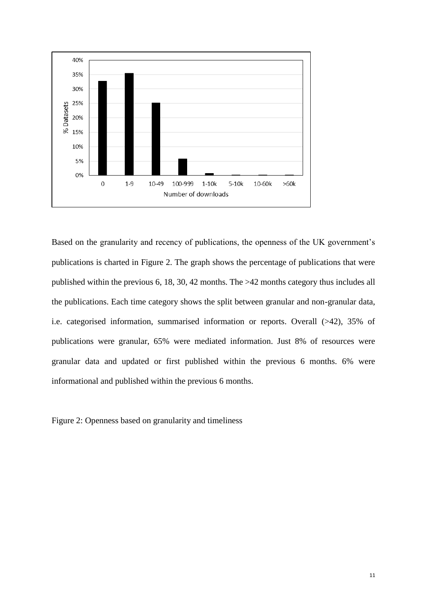

Based on the granularity and recency of publications, the openness of the UK government's publications is charted in Figure 2. The graph shows the percentage of publications that were published within the previous 6, 18, 30, 42 months. The >42 months category thus includes all the publications. Each time category shows the split between granular and non-granular data, i.e. categorised information, summarised information or reports. Overall (>42), 35% of publications were granular, 65% were mediated information. Just 8% of resources were granular data and updated or first published within the previous 6 months. 6% were informational and published within the previous 6 months.

Figure 2: Openness based on granularity and timeliness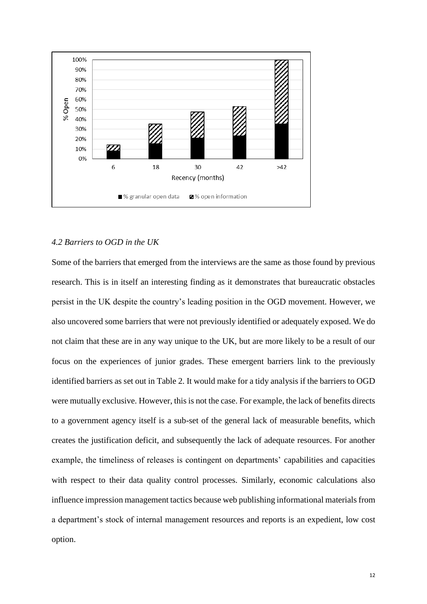

## *4.2 Barriers to OGD in the UK*

Some of the barriers that emerged from the interviews are the same as those found by previous research. This is in itself an interesting finding as it demonstrates that bureaucratic obstacles persist in the UK despite the country's leading position in the OGD movement. However, we also uncovered some barriers that were not previously identified or adequately exposed. We do not claim that these are in any way unique to the UK, but are more likely to be a result of our focus on the experiences of junior grades. These emergent barriers link to the previously identified barriers as set out in Table 2. It would make for a tidy analysis if the barriers to OGD were mutually exclusive. However, this is not the case. For example, the lack of benefits directs to a government agency itself is a sub-set of the general lack of measurable benefits, which creates the justification deficit, and subsequently the lack of adequate resources. For another example, the timeliness of releases is contingent on departments' capabilities and capacities with respect to their data quality control processes. Similarly, economic calculations also influence impression management tactics because web publishing informational materials from a department's stock of internal management resources and reports is an expedient, low cost option.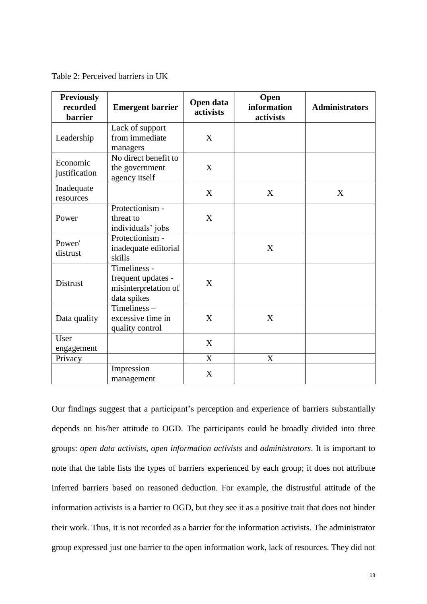Table 2: Perceived barriers in UK

| <b>Previously</b><br>recorded<br><b>barrier</b> | <b>Emergent barrier</b>                                                   | Open data<br>activists | Open<br>information<br>activists | <b>Administrators</b> |
|-------------------------------------------------|---------------------------------------------------------------------------|------------------------|----------------------------------|-----------------------|
| Leadership                                      | Lack of support<br>from immediate<br>managers                             | X                      |                                  |                       |
| Economic<br>justification                       | No direct benefit to<br>the government<br>agency itself                   | X                      |                                  |                       |
| Inadequate<br>resources                         |                                                                           | X                      | X                                | X                     |
| Power                                           | Protectionism -<br>threat to<br>individuals' jobs                         | X                      |                                  |                       |
| Power/<br>distrust                              | Protectionism -<br>inadequate editorial<br>skills                         |                        | X                                |                       |
| <b>Distrust</b>                                 | Timeliness -<br>frequent updates -<br>misinterpretation of<br>data spikes | X                      |                                  |                       |
| Data quality                                    | Timeliness-<br>excessive time in<br>quality control                       | X                      | X                                |                       |
| User<br>engagement                              |                                                                           | X                      |                                  |                       |
| Privacy                                         |                                                                           | X                      | X                                |                       |
|                                                 | Impression<br>management                                                  | X                      |                                  |                       |

Our findings suggest that a participant's perception and experience of barriers substantially depends on his/her attitude to OGD. The participants could be broadly divided into three groups: *open data activists*, *open information activists* and *administrators*. It is important to note that the table lists the types of barriers experienced by each group; it does not attribute inferred barriers based on reasoned deduction. For example, the distrustful attitude of the information activists is a barrier to OGD, but they see it as a positive trait that does not hinder their work. Thus, it is not recorded as a barrier for the information activists. The administrator group expressed just one barrier to the open information work, lack of resources. They did not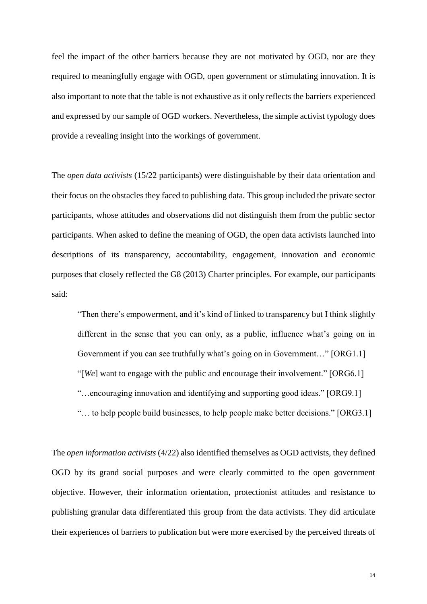feel the impact of the other barriers because they are not motivated by OGD, nor are they required to meaningfully engage with OGD, open government or stimulating innovation. It is also important to note that the table is not exhaustive as it only reflects the barriers experienced and expressed by our sample of OGD workers. Nevertheless, the simple activist typology does provide a revealing insight into the workings of government.

The *open data activists* (15/22 participants) were distinguishable by their data orientation and their focus on the obstacles they faced to publishing data. This group included the private sector participants, whose attitudes and observations did not distinguish them from the public sector participants. When asked to define the meaning of OGD, the open data activists launched into descriptions of its transparency, accountability, engagement, innovation and economic purposes that closely reflected the G8 (2013) Charter principles. For example, our participants said:

"Then there's empowerment, and it's kind of linked to transparency but I think slightly different in the sense that you can only, as a public, influence what's going on in Government if you can see truthfully what's going on in Government..." [ORG1.1] "[*We*] want to engage with the public and encourage their involvement." [ORG6.1] "…encouraging innovation and identifying and supporting good ideas." [ORG9.1] "… to help people build businesses, to help people make better decisions." [ORG3.1]

The *open information activists* (4/22) also identified themselves as OGD activists, they defined OGD by its grand social purposes and were clearly committed to the open government objective. However, their information orientation, protectionist attitudes and resistance to publishing granular data differentiated this group from the data activists. They did articulate their experiences of barriers to publication but were more exercised by the perceived threats of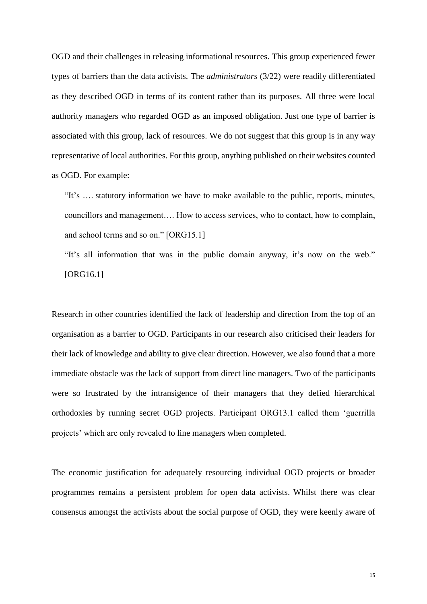OGD and their challenges in releasing informational resources. This group experienced fewer types of barriers than the data activists. The *administrators* (3/22) were readily differentiated as they described OGD in terms of its content rather than its purposes. All three were local authority managers who regarded OGD as an imposed obligation. Just one type of barrier is associated with this group, lack of resources. We do not suggest that this group is in any way representative of local authorities. For this group, anything published on their websites counted as OGD. For example:

"It's …. statutory information we have to make available to the public, reports, minutes, councillors and management…. How to access services, who to contact, how to complain, and school terms and so on." [ORG15.1]

"It's all information that was in the public domain anyway, it's now on the web." [ORG16.1]

Research in other countries identified the lack of leadership and direction from the top of an organisation as a barrier to OGD. Participants in our research also criticised their leaders for their lack of knowledge and ability to give clear direction. However, we also found that a more immediate obstacle was the lack of support from direct line managers. Two of the participants were so frustrated by the intransigence of their managers that they defied hierarchical orthodoxies by running secret OGD projects. Participant ORG13.1 called them 'guerrilla projects' which are only revealed to line managers when completed.

The economic justification for adequately resourcing individual OGD projects or broader programmes remains a persistent problem for open data activists. Whilst there was clear consensus amongst the activists about the social purpose of OGD, they were keenly aware of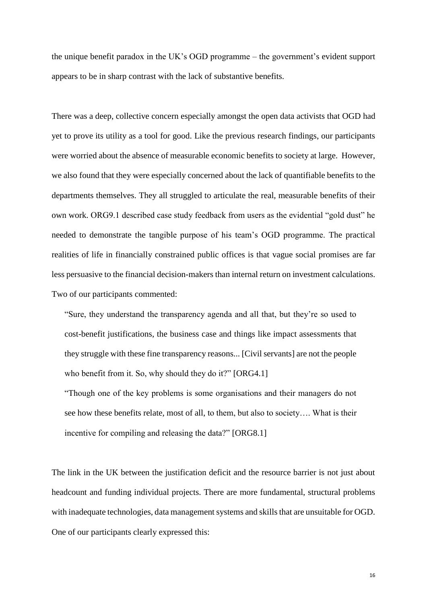the unique benefit paradox in the UK's OGD programme – the government's evident support appears to be in sharp contrast with the lack of substantive benefits.

There was a deep, collective concern especially amongst the open data activists that OGD had yet to prove its utility as a tool for good. Like the previous research findings, our participants were worried about the absence of measurable economic benefits to society at large. However, we also found that they were especially concerned about the lack of quantifiable benefits to the departments themselves. They all struggled to articulate the real, measurable benefits of their own work. ORG9.1 described case study feedback from users as the evidential "gold dust" he needed to demonstrate the tangible purpose of his team's OGD programme. The practical realities of life in financially constrained public offices is that vague social promises are far less persuasive to the financial decision-makers than internal return on investment calculations. Two of our participants commented:

"Sure, they understand the transparency agenda and all that, but they're so used to cost-benefit justifications, the business case and things like impact assessments that they struggle with these fine transparency reasons... [Civil servants] are not the people who benefit from it. So, why should they do it?" [ORG4.1]

"Though one of the key problems is some organisations and their managers do not see how these benefits relate, most of all, to them, but also to society…. What is their incentive for compiling and releasing the data?" [ORG8.1]

The link in the UK between the justification deficit and the resource barrier is not just about headcount and funding individual projects. There are more fundamental, structural problems with inadequate technologies, data management systems and skills that are unsuitable for OGD. One of our participants clearly expressed this: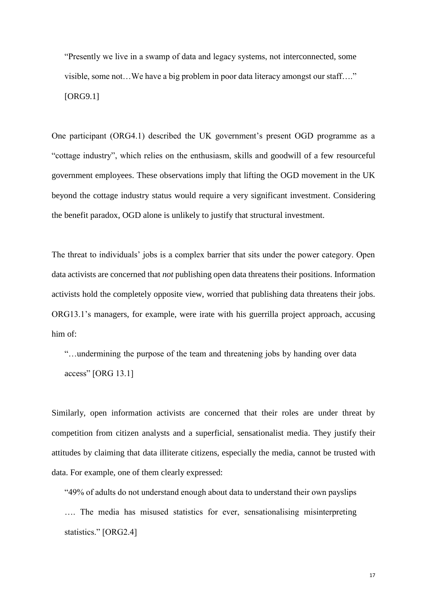"Presently we live in a swamp of data and legacy systems, not interconnected, some visible, some not…We have a big problem in poor data literacy amongst our staff…." [ORG9.1]

One participant (ORG4.1) described the UK government's present OGD programme as a "cottage industry", which relies on the enthusiasm, skills and goodwill of a few resourceful government employees. These observations imply that lifting the OGD movement in the UK beyond the cottage industry status would require a very significant investment. Considering the benefit paradox, OGD alone is unlikely to justify that structural investment.

The threat to individuals' jobs is a complex barrier that sits under the power category. Open data activists are concerned that *not* publishing open data threatens their positions. Information activists hold the completely opposite view, worried that publishing data threatens their jobs. ORG13.1's managers, for example, were irate with his guerrilla project approach, accusing him of:

"…undermining the purpose of the team and threatening jobs by handing over data access" [ORG 13.1]

Similarly, open information activists are concerned that their roles are under threat by competition from citizen analysts and a superficial, sensationalist media. They justify their attitudes by claiming that data illiterate citizens, especially the media, cannot be trusted with data. For example, one of them clearly expressed:

"49% of adults do not understand enough about data to understand their own payslips …. The media has misused statistics for ever, sensationalising misinterpreting statistics." [ORG2.4]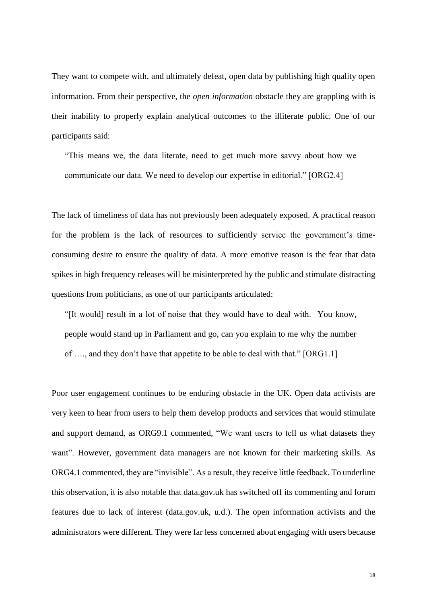They want to compete with, and ultimately defeat, open data by publishing high quality open information. From their perspective, the *open information* obstacle they are grappling with is their inability to properly explain analytical outcomes to the illiterate public. One of our participants said:

"This means we, the data literate, need to get much more savvy about how we communicate our data. We need to develop our expertise in editorial." [ORG2.4]

The lack of timeliness of data has not previously been adequately exposed. A practical reason for the problem is the lack of resources to sufficiently service the government's timeconsuming desire to ensure the quality of data. A more emotive reason is the fear that data spikes in high frequency releases will be misinterpreted by the public and stimulate distracting questions from politicians, as one of our participants articulated:

"[It would] result in a lot of noise that they would have to deal with. You know, people would stand up in Parliament and go, can you explain to me why the number of …., and they don't have that appetite to be able to deal with that." [ORG1.1]

Poor user engagement continues to be enduring obstacle in the UK. Open data activists are very keen to hear from users to help them develop products and services that would stimulate and support demand, as ORG9.1 commented, "We want users to tell us what datasets they want". However, government data managers are not known for their marketing skills. As ORG4.1 commented, they are "invisible". As a result, they receive little feedback. To underline this observation, it is also notable that data.gov.uk has switched off its commenting and forum features due to lack of interest (data.gov.uk, u.d.). The open information activists and the administrators were different. They were far less concerned about engaging with users because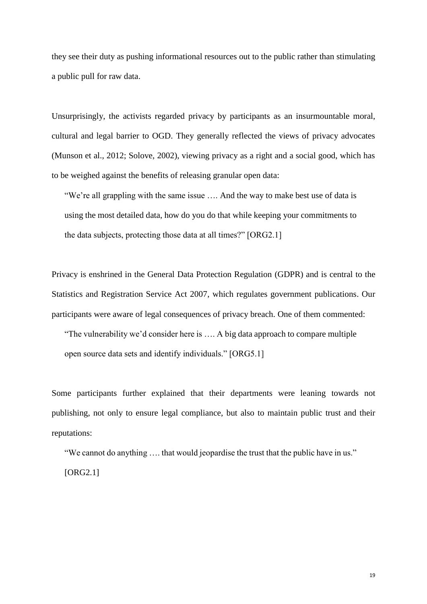they see their duty as pushing informational resources out to the public rather than stimulating a public pull for raw data.

Unsurprisingly, the activists regarded privacy by participants as an insurmountable moral, cultural and legal barrier to OGD. They generally reflected the views of privacy advocates (Munson et al., 2012; Solove, 2002), viewing privacy as a right and a social good, which has to be weighed against the benefits of releasing granular open data:

"We're all grappling with the same issue …. And the way to make best use of data is using the most detailed data, how do you do that while keeping your commitments to the data subjects, protecting those data at all times?" [ORG2.1]

Privacy is enshrined in the General Data Protection Regulation (GDPR) and is central to the Statistics and Registration Service Act 2007, which regulates government publications. Our participants were aware of legal consequences of privacy breach. One of them commented:

"The vulnerability we'd consider here is …. A big data approach to compare multiple open source data sets and identify individuals." [ORG5.1]

Some participants further explained that their departments were leaning towards not publishing, not only to ensure legal compliance, but also to maintain public trust and their reputations:

"We cannot do anything …. that would jeopardise the trust that the public have in us." [ORG2.1]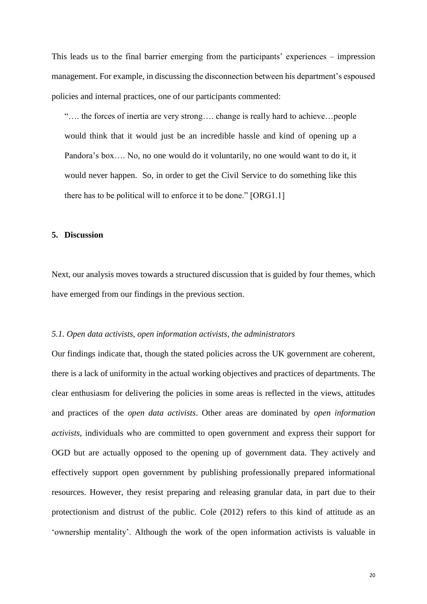This leads us to the final barrier emerging from the participants' experiences – impression management. For example, in discussing the disconnection between his department's espoused policies and internal practices, one of our participants commented:

"…. the forces of inertia are very strong…. change is really hard to achieve…people would think that it would just be an incredible hassle and kind of opening up a Pandora's box…. No, no one would do it voluntarily, no one would want to do it, it would never happen. So, in order to get the Civil Service to do something like this there has to be political will to enforce it to be done." [ORG1.1]

## **5. Discussion**

Next, our analysis moves towards a structured discussion that is guided by four themes, which have emerged from our findings in the previous section.

#### *5.1. Open data activists, open information activists, the administrators*

Our findings indicate that, though the stated policies across the UK government are coherent, there is a lack of uniformity in the actual working objectives and practices of departments. The clear enthusiasm for delivering the policies in some areas is reflected in the views, attitudes and practices of the *open data activists*. Other areas are dominated by *open information activists*, individuals who are committed to open government and express their support for OGD but are actually opposed to the opening up of government data. They actively and effectively support open government by publishing professionally prepared informational resources. However, they resist preparing and releasing granular data, in part due to their protectionism and distrust of the public. Cole (2012) refers to this kind of attitude as an 'ownership mentality'. Although the work of the open information activists is valuable in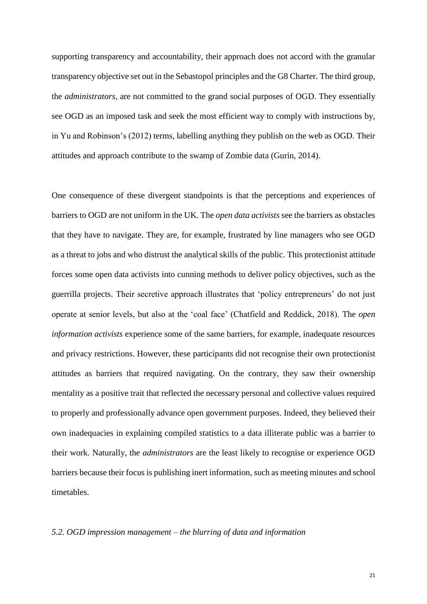supporting transparency and accountability, their approach does not accord with the granular transparency objective set out in the Sebastopol principles and the G8 Charter. The third group, the *administrators*, are not committed to the grand social purposes of OGD. They essentially see OGD as an imposed task and seek the most efficient way to comply with instructions by, in Yu and Robinson's (2012) terms, labelling anything they publish on the web as OGD. Their attitudes and approach contribute to the swamp of Zombie data (Gurin, 2014).

One consequence of these divergent standpoints is that the perceptions and experiences of barriers to OGD are not uniform in the UK. The *open data activists* see the barriers as obstacles that they have to navigate. They are, for example, frustrated by line managers who see OGD as a threat to jobs and who distrust the analytical skills of the public. This protectionist attitude forces some open data activists into cunning methods to deliver policy objectives, such as the guerrilla projects. Their secretive approach illustrates that 'policy entrepreneurs' do not just operate at senior levels, but also at the 'coal face' (Chatfield and Reddick, 2018). The *open information activists* experience some of the same barriers, for example, inadequate resources and privacy restrictions. However, these participants did not recognise their own protectionist attitudes as barriers that required navigating. On the contrary, they saw their ownership mentality as a positive trait that reflected the necessary personal and collective values required to properly and professionally advance open government purposes. Indeed, they believed their own inadequacies in explaining compiled statistics to a data illiterate public was a barrier to their work. Naturally, the *administrators* are the least likely to recognise or experience OGD barriers because their focus is publishing inert information, such as meeting minutes and school timetables.

## *5.2. OGD impression management – the blurring of data and information*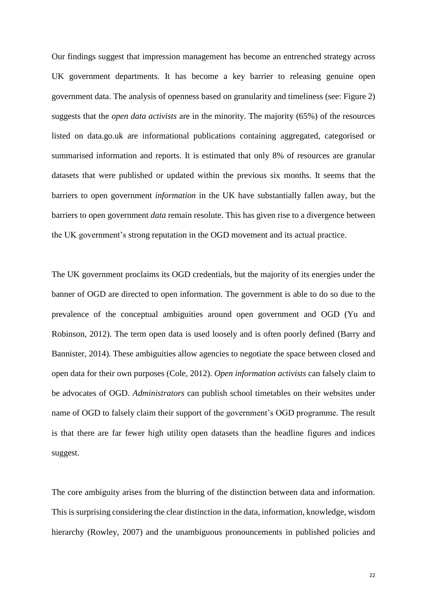Our findings suggest that impression management has become an entrenched strategy across UK government departments. It has become a key barrier to releasing genuine open government data. The analysis of openness based on granularity and timeliness (see: Figure 2) suggests that the *open data activists* are in the minority. The majority (65%) of the resources listed on data.go.uk are informational publications containing aggregated, categorised or summarised information and reports. It is estimated that only 8% of resources are granular datasets that were published or updated within the previous six months. It seems that the barriers to open government *information* in the UK have substantially fallen away, but the barriers to open government *data* remain resolute. This has given rise to a divergence between the UK government's strong reputation in the OGD movement and its actual practice.

The UK government proclaims its OGD credentials, but the majority of its energies under the banner of OGD are directed to open information. The government is able to do so due to the prevalence of the conceptual ambiguities around open government and OGD (Yu and Robinson, 2012). The term open data is used loosely and is often poorly defined (Barry and Bannister, 2014). These ambiguities allow agencies to negotiate the space between closed and open data for their own purposes (Cole, 2012). *Open information activists* can falsely claim to be advocates of OGD. *Administrators* can publish school timetables on their websites under name of OGD to falsely claim their support of the government's OGD programme. The result is that there are far fewer high utility open datasets than the headline figures and indices suggest.

The core ambiguity arises from the blurring of the distinction between data and information. This is surprising considering the clear distinction in the data, information, knowledge, wisdom hierarchy (Rowley, 2007) and the unambiguous pronouncements in published policies and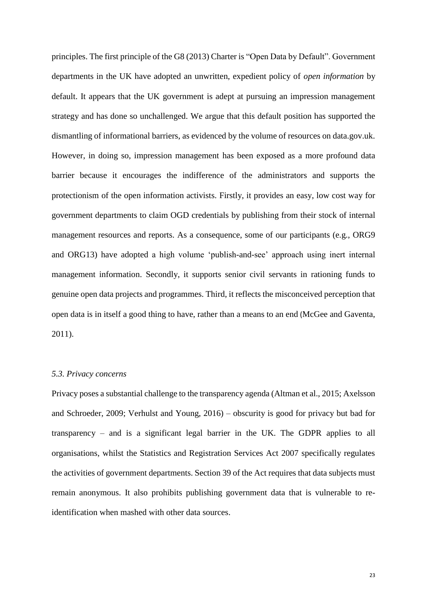principles. The first principle of the G8 (2013) Charter is "Open Data by Default". Government departments in the UK have adopted an unwritten, expedient policy of *open information* by default. It appears that the UK government is adept at pursuing an impression management strategy and has done so unchallenged. We argue that this default position has supported the dismantling of informational barriers, as evidenced by the volume of resources on data.gov.uk. However, in doing so, impression management has been exposed as a more profound data barrier because it encourages the indifference of the administrators and supports the protectionism of the open information activists. Firstly, it provides an easy, low cost way for government departments to claim OGD credentials by publishing from their stock of internal management resources and reports. As a consequence, some of our participants (e.g., ORG9 and ORG13) have adopted a high volume 'publish-and-see' approach using inert internal management information. Secondly, it supports senior civil servants in rationing funds to genuine open data projects and programmes. Third, it reflects the misconceived perception that open data is in itself a good thing to have, rather than a means to an end (McGee and Gaventa, 2011).

## *5.3. Privacy concerns*

Privacy poses a substantial challenge to the transparency agenda (Altman et al., 2015; Axelsson and Schroeder, 2009; Verhulst and Young, 2016) – obscurity is good for privacy but bad for transparency – and is a significant legal barrier in the UK. The GDPR applies to all organisations, whilst the Statistics and Registration Services Act 2007 specifically regulates the activities of government departments. Section 39 of the Act requires that data subjects must remain anonymous. It also prohibits publishing government data that is vulnerable to reidentification when mashed with other data sources.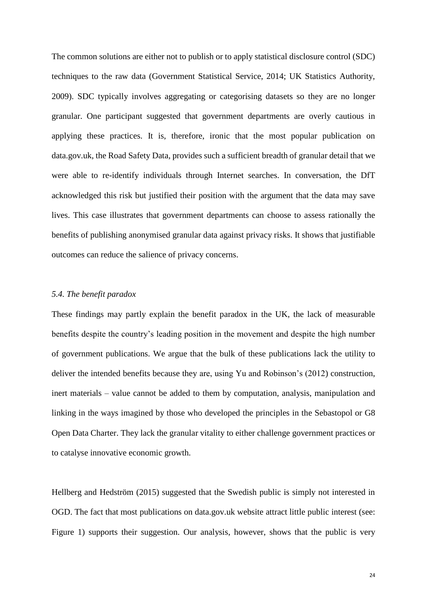The common solutions are either not to publish or to apply statistical disclosure control (SDC) techniques to the raw data (Government Statistical Service, 2014; UK Statistics Authority, 2009). SDC typically involves aggregating or categorising datasets so they are no longer granular. One participant suggested that government departments are overly cautious in applying these practices. It is, therefore, ironic that the most popular publication on data.gov.uk, the Road Safety Data, provides such a sufficient breadth of granular detail that we were able to re-identify individuals through Internet searches. In conversation, the DfT acknowledged this risk but justified their position with the argument that the data may save lives. This case illustrates that government departments can choose to assess rationally the benefits of publishing anonymised granular data against privacy risks. It shows that justifiable outcomes can reduce the salience of privacy concerns.

# *5.4. The benefit paradox*

These findings may partly explain the benefit paradox in the UK, the lack of measurable benefits despite the country's leading position in the movement and despite the high number of government publications. We argue that the bulk of these publications lack the utility to deliver the intended benefits because they are, using Yu and Robinson's (2012) construction, inert materials – value cannot be added to them by computation, analysis, manipulation and linking in the ways imagined by those who developed the principles in the Sebastopol or G8 Open Data Charter. They lack the granular vitality to either challenge government practices or to catalyse innovative economic growth.

Hellberg and Hedström (2015) suggested that the Swedish public is simply not interested in OGD. The fact that most publications on data.gov.uk website attract little public interest (see: Figure 1) supports their suggestion. Our analysis, however, shows that the public is very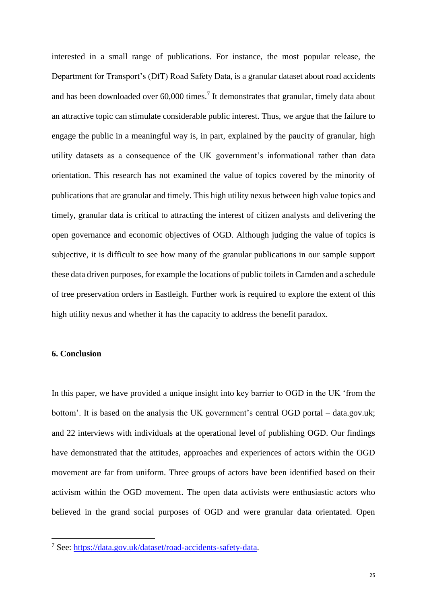interested in a small range of publications. For instance, the most popular release, the Department for Transport's (DfT) Road Safety Data, is a granular dataset about road accidents and has been downloaded over  $60,000$  times.<sup>7</sup> It demonstrates that granular, timely data about an attractive topic can stimulate considerable public interest. Thus, we argue that the failure to engage the public in a meaningful way is, in part, explained by the paucity of granular, high utility datasets as a consequence of the UK government's informational rather than data orientation. This research has not examined the value of topics covered by the minority of publications that are granular and timely. This high utility nexus between high value topics and timely, granular data is critical to attracting the interest of citizen analysts and delivering the open governance and economic objectives of OGD. Although judging the value of topics is subjective, it is difficult to see how many of the granular publications in our sample support these data driven purposes, for example the locations of public toilets in Camden and a schedule of tree preservation orders in Eastleigh. Further work is required to explore the extent of this high utility nexus and whether it has the capacity to address the benefit paradox.

#### **6. Conclusion**

**.** 

In this paper, we have provided a unique insight into key barrier to OGD in the UK 'from the bottom'. It is based on the analysis the UK government's central OGD portal – data.gov.uk; and 22 interviews with individuals at the operational level of publishing OGD. Our findings have demonstrated that the attitudes, approaches and experiences of actors within the OGD movement are far from uniform. Three groups of actors have been identified based on their activism within the OGD movement. The open data activists were enthusiastic actors who believed in the grand social purposes of OGD and were granular data orientated. Open

<sup>7</sup> See: [https://data.gov.uk/dataset/road-accidents-safety-data.](https://data.gov.uk/dataset/road-accidents-safety-data)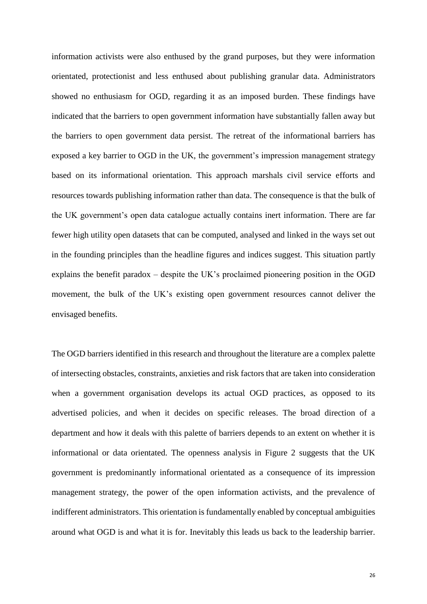information activists were also enthused by the grand purposes, but they were information orientated, protectionist and less enthused about publishing granular data. Administrators showed no enthusiasm for OGD, regarding it as an imposed burden. These findings have indicated that the barriers to open government information have substantially fallen away but the barriers to open government data persist. The retreat of the informational barriers has exposed a key barrier to OGD in the UK, the government's impression management strategy based on its informational orientation. This approach marshals civil service efforts and resources towards publishing information rather than data. The consequence is that the bulk of the UK government's open data catalogue actually contains inert information. There are far fewer high utility open datasets that can be computed, analysed and linked in the ways set out in the founding principles than the headline figures and indices suggest. This situation partly explains the benefit paradox – despite the UK's proclaimed pioneering position in the OGD movement, the bulk of the UK's existing open government resources cannot deliver the envisaged benefits.

The OGD barriers identified in this research and throughout the literature are a complex palette of intersecting obstacles, constraints, anxieties and risk factors that are taken into consideration when a government organisation develops its actual OGD practices, as opposed to its advertised policies, and when it decides on specific releases. The broad direction of a department and how it deals with this palette of barriers depends to an extent on whether it is informational or data orientated. The openness analysis in Figure 2 suggests that the UK government is predominantly informational orientated as a consequence of its impression management strategy, the power of the open information activists, and the prevalence of indifferent administrators. This orientation is fundamentally enabled by conceptual ambiguities around what OGD is and what it is for. Inevitably this leads us back to the leadership barrier.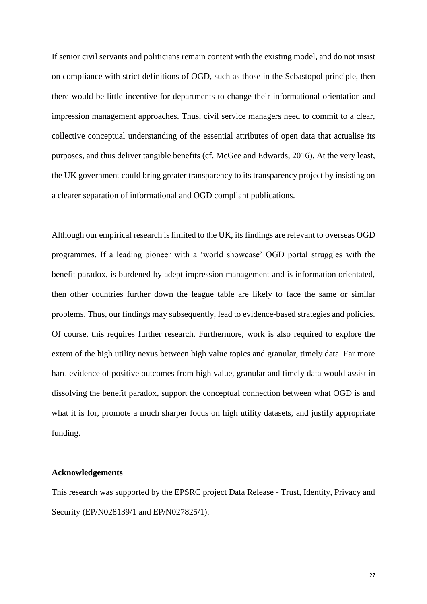If senior civil servants and politicians remain content with the existing model, and do not insist on compliance with strict definitions of OGD, such as those in the Sebastopol principle, then there would be little incentive for departments to change their informational orientation and impression management approaches. Thus, civil service managers need to commit to a clear, collective conceptual understanding of the essential attributes of open data that actualise its purposes, and thus deliver tangible benefits (cf. McGee and Edwards, 2016). At the very least, the UK government could bring greater transparency to its transparency project by insisting on a clearer separation of informational and OGD compliant publications.

Although our empirical research is limited to the UK, its findings are relevant to overseas OGD programmes. If a leading pioneer with a 'world showcase' OGD portal struggles with the benefit paradox, is burdened by adept impression management and is information orientated, then other countries further down the league table are likely to face the same or similar problems. Thus, our findings may subsequently, lead to evidence-based strategies and policies. Of course, this requires further research. Furthermore, work is also required to explore the extent of the high utility nexus between high value topics and granular, timely data. Far more hard evidence of positive outcomes from high value, granular and timely data would assist in dissolving the benefit paradox, support the conceptual connection between what OGD is and what it is for, promote a much sharper focus on high utility datasets, and justify appropriate funding.

# **Acknowledgements**

This research was supported by the EPSRC project Data Release - Trust, Identity, Privacy and Security (EP/N028139/1 and EP/N027825/1).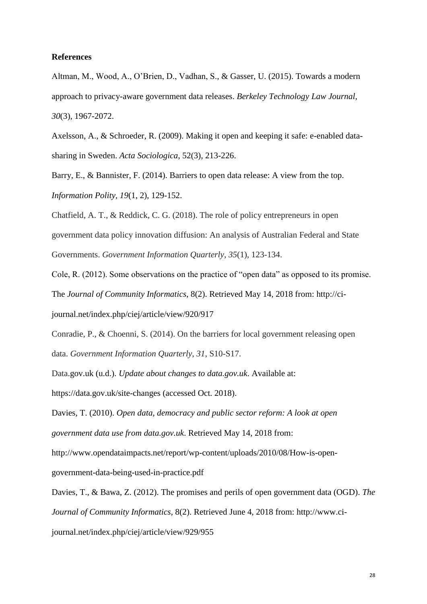#### **References**

Altman, M., Wood, A., O'Brien, D., Vadhan, S., & Gasser, U. (2015). Towards a modern approach to privacy-aware government data releases. *Berkeley Technology Law Journal, 30*(3), 1967-2072.

Axelsson, A., & Schroeder, R. (2009). Making it open and keeping it safe: e-enabled datasharing in Sweden. *Acta Sociologica*, 52(3), 213-226.

Barry, E., & Bannister, F. (2014). Barriers to open data release: A view from the top. *Information Polity, 19*(1, 2), 129-152.

Chatfield, A. T., & Reddick, C. G. (2018). The role of policy entrepreneurs in open government data policy innovation diffusion: An analysis of Australian Federal and State Governments. *Government Information Quarterly*, *35*(1), 123-134.

Cole, R. (2012). Some observations on the practice of "open data" as opposed to its promise. The *Journal of Community Informatics*, 8(2). Retrieved May 14, 2018 from: http://cijournal.net/index.php/ciej/article/view/920/917

Conradie, P., & Choenni, S. (2014). On the barriers for local government releasing open data. *Government Information Quarterly*, *31*, S10-S17.

Data.gov.uk (u.d.). *Update about changes to data.gov.uk*. Available at:

https://data.gov.uk/site-changes (accessed Oct. 2018).

Davies, T. (2010). *Open data, democracy and public sector reform: A look at open government data use from data.gov.uk*. Retrieved May 14, 2018 from:

http://www.opendataimpacts.net/report/wp-content/uploads/2010/08/How-is-open-

government-data-being-used-in-practice.pdf

Davies, T., & Bawa, Z. (2012). The promises and perils of open government data (OGD). *The Journal of Community Informatics*, 8(2). Retrieved June 4, 2018 from: http://www.cijournal.net/index.php/ciej/article/view/929/955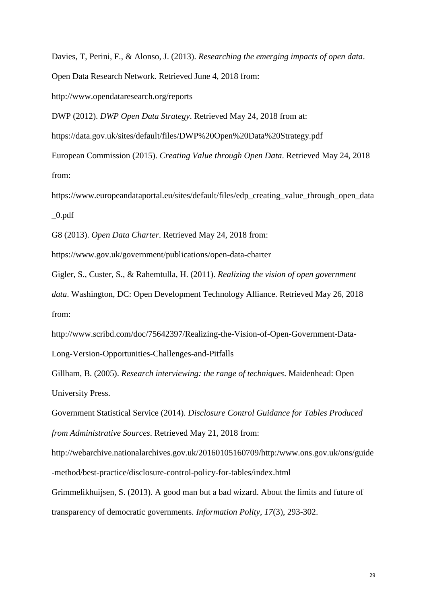Davies, T, Perini, F., & Alonso, J. (2013). *Researching the emerging impacts of open data*. Open Data Research Network. Retrieved June 4, 2018 from:

http://www.opendataresearch.org/reports

DWP (2012). *DWP Open Data Strategy*. Retrieved May 24, 2018 from at:

https://data.gov.uk/sites/default/files/DWP%20Open%20Data%20Strategy.pdf

European Commission (2015). *Creating Value through Open Data*. Retrieved May 24, 2018 from:

https://www.europeandataportal.eu/sites/default/files/edp\_creating\_value\_through\_open\_data  $_0.$ pdf

G8 (2013). *Open Data Charter*. Retrieved May 24, 2018 from:

https://www.gov.uk/government/publications/open-data-charter

Gigler, S., Custer, S., & Rahemtulla, H. (2011). *Realizing the vision of open government* 

*data*. Washington, DC: Open Development Technology Alliance. Retrieved May 26, 2018 from:

http://www.scribd.com/doc/75642397/Realizing-the-Vision-of-Open-Government-Data-Long-Version-Opportunities-Challenges-and-Pitfalls

Gillham, B. (2005). *Research interviewing: the range of techniques*. Maidenhead: Open University Press.

Government Statistical Service (2014). *Disclosure Control Guidance for Tables Produced from Administrative Sources*. Retrieved May 21, 2018 from:

http://webarchive.nationalarchives.gov.uk/20160105160709/http:/www.ons.gov.uk/ons/guide -method/best-practice/disclosure-control-policy-for-tables/index.html

Grimmelikhuijsen, S. (2013). A good man but a bad wizard. About the limits and future of transparency of democratic governments. *Information Polity, 17*(3), 293-302.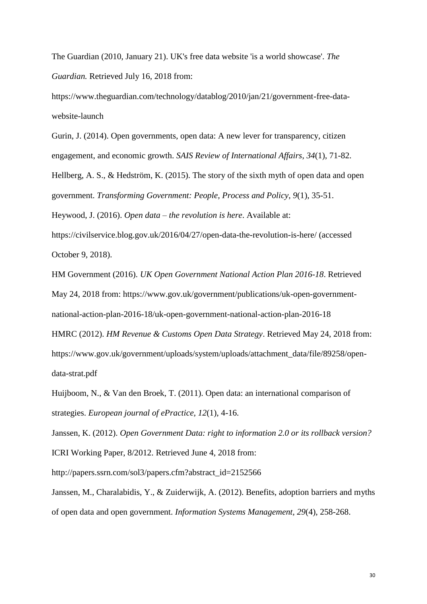The Guardian (2010, January 21). UK's free data website 'is a world showcase'. *The Guardian.* Retrieved July 16, 2018 from:

https://www.theguardian.com/technology/datablog/2010/jan/21/government-free-datawebsite-launch

Gurin, J. (2014). Open governments, open data: A new lever for transparency, citizen engagement, and economic growth. *SAIS Review of International Affairs, 34*(1), 71-82. Hellberg, A. S., & Hedström, K. (2015). The story of the sixth myth of open data and open government. *Transforming Government: People, Process and Policy*, *9*(1), 35-51. Heywood, J. (2016). *Open data – the revolution is here*. Available at: https://civilservice.blog.gov.uk/2016/04/27/open-data-the-revolution-is-here/ (accessed October 9, 2018).

HM Government (2016). *UK Open Government National Action Plan 2016-18*. Retrieved May 24, 2018 from: https://www.gov.uk/government/publications/uk-open-governmentnational-action-plan-2016-18/uk-open-government-national-action-plan-2016-18 HMRC (2012). *HM Revenue & Customs Open Data Strategy*. Retrieved May 24, 2018 from: https://www.gov.uk/government/uploads/system/uploads/attachment\_data/file/89258/opendata-strat.pdf

Huijboom, N., & Van den Broek, T. (2011). Open data: an international comparison of strategies. *European journal of ePractice, 12*(1), 4-16.

Janssen, K. (2012). *Open Government Data: right to information 2.0 or its rollback version?* ICRI Working Paper, 8/2012. Retrieved June 4, 2018 from:

http://papers.ssrn.com/sol3/papers.cfm?abstract\_id=2152566

Janssen, M., Charalabidis, Y., & Zuiderwijk, A. (2012). Benefits, adoption barriers and myths of open data and open government. *Information Systems Management, 29*(4), 258-268.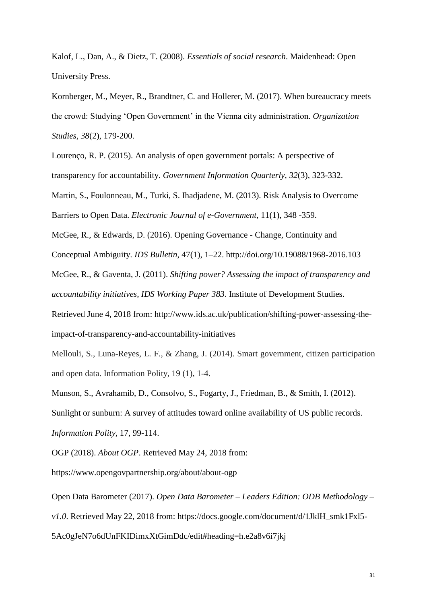Kalof, L., Dan, A., & Dietz, T. (2008). *Essentials of social research*. Maidenhead: Open University Press.

Kornberger, M., Meyer, R., Brandtner, C. and Hollerer, M. (2017). When bureaucracy meets the crowd: Studying 'Open Government' in the Vienna city administration. *Organization Studies, 38*(2), 179-200.

Lourenço, R. P. (2015). An analysis of open government portals: A perspective of transparency for accountability. *Government Information Quarterly, 32*(3), 323-332.

Martin, S., Foulonneau, M., Turki, S. Ihadjadene, M. (2013). Risk Analysis to Overcome Barriers to Open Data. *Electronic Journal of e-Government*, 11(1), 348 -359.

McGee, R., & Edwards, D. (2016). Opening Governance - Change, Continuity and

Conceptual Ambiguity. *IDS Bulletin*, 47(1), 1–22. http://doi.org/10.19088/1968-2016.103

McGee, R., & Gaventa, J. (2011). *Shifting power? Assessing the impact of transparency and accountability initiatives, IDS Working Paper 383*. Institute of Development Studies.

Retrieved June 4, 2018 from: http://www.ids.ac.uk/publication/shifting-power-assessing-theimpact-of-transparency-and-accountability-initiatives

Mellouli, S., Luna-Reyes, L. F., & Zhang, J. (2014). Smart government, citizen participation and open data. Information Polity, 19 (1), 1-4.

Munson, S., Avrahamib, D., Consolvo, S., Fogarty, J., Friedman, B., & Smith, I. (2012). Sunlight or sunburn: A survey of attitudes toward online availability of US public records. *Information Polity*, 17, 99-114.

OGP (2018). *About OGP*. Retrieved May 24, 2018 from:

https://www.opengovpartnership.org/about/about-ogp

Open Data Barometer (2017). *Open Data Barometer – Leaders Edition: ODB Methodology – v1.0*. Retrieved May 22, 2018 from: https://docs.google.com/document/d/1JklH\_smk1Fxl5-5Ac0gJeN7o6dUnFKIDimxXtGimDdc/edit#heading=h.e2a8v6i7jkj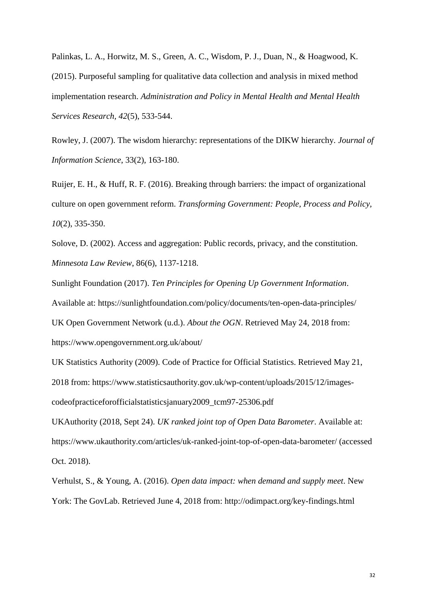Palinkas, L. A., Horwitz, M. S., Green, A. C., Wisdom, P. J., Duan, N., & Hoagwood, K. (2015). Purposeful sampling for qualitative data collection and analysis in mixed method implementation research. *Administration and Policy in Mental Health and Mental Health Services Research, 42*(5), 533-544.

Rowley, J. (2007). The wisdom hierarchy: representations of the DIKW hierarchy. *Journal of Information Science*, 33(2), 163-180.

Ruijer, E. H., & Huff, R. F. (2016). Breaking through barriers: the impact of organizational culture on open government reform. *Transforming Government: People, Process and Policy, 10*(2), 335-350.

Solove, D. (2002). Access and aggregation: Public records, privacy, and the constitution. *Minnesota Law Review*, 86(6), 1137-1218.

Sunlight Foundation (2017). *Ten Principles for Opening Up Government Information*. Available at: https://sunlightfoundation.com/policy/documents/ten-open-data-principles/ UK Open Government Network (u.d.). *About the OGN*. Retrieved May 24, 2018 from: https://www.opengovernment.org.uk/about/

UK Statistics Authority (2009). Code of Practice for Official Statistics. Retrieved May 21, 2018 from: https://www.statisticsauthority.gov.uk/wp-content/uploads/2015/12/imagescodeofpracticeforofficialstatisticsjanuary2009\_tcm97-25306.pdf

UKAuthority (2018, Sept 24). *UK ranked joint top of Open Data Barometer*. Available at: https://www.ukauthority.com/articles/uk-ranked-joint-top-of-open-data-barometer/ (accessed Oct. 2018).

Verhulst, S., & Young, A. (2016). *Open data impact: when demand and supply meet*. New York: The GovLab. Retrieved June 4, 2018 from: http://odimpact.org/key-findings.html